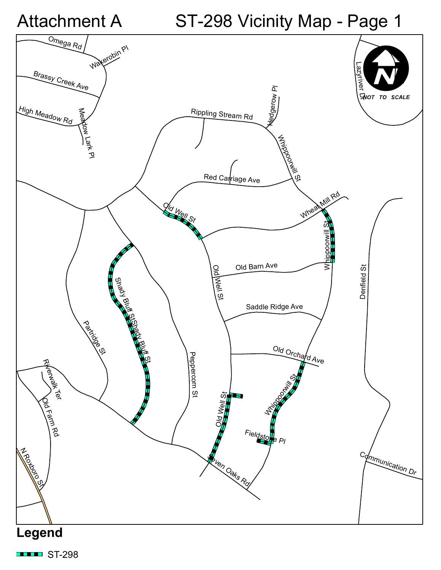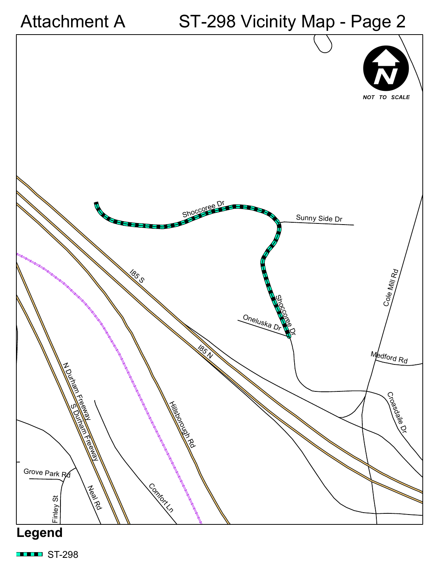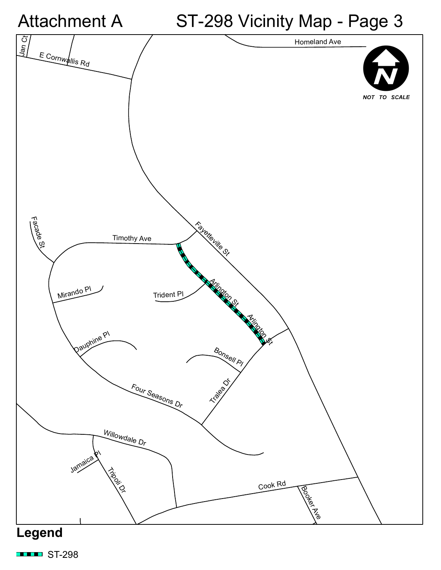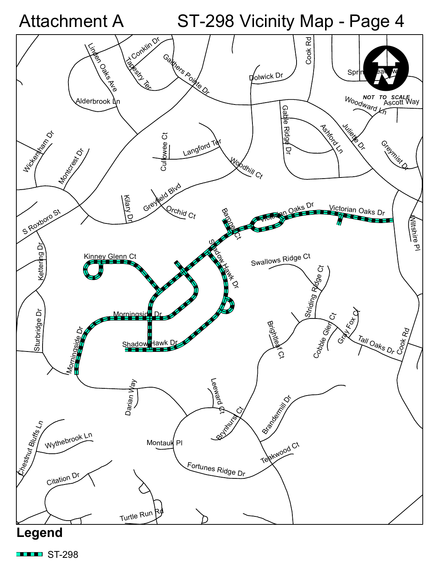

 $\blacksquare$ ST-298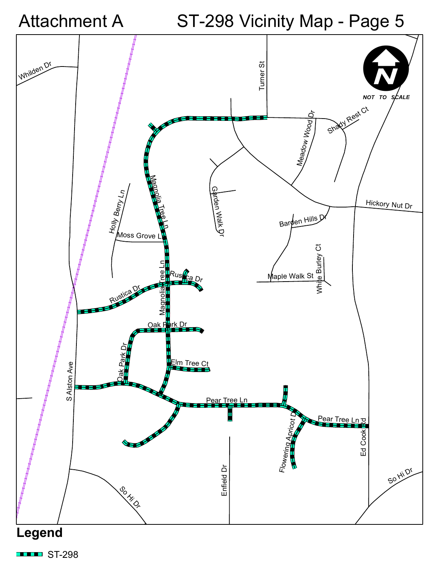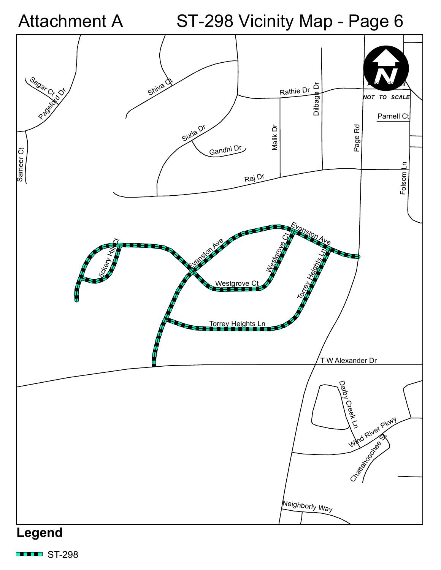

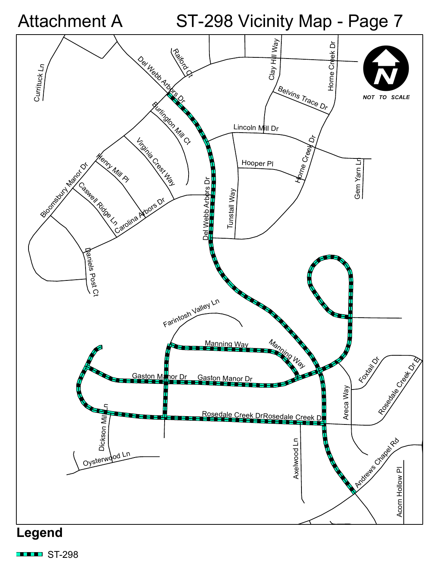

 $\blacksquare$ ST-298